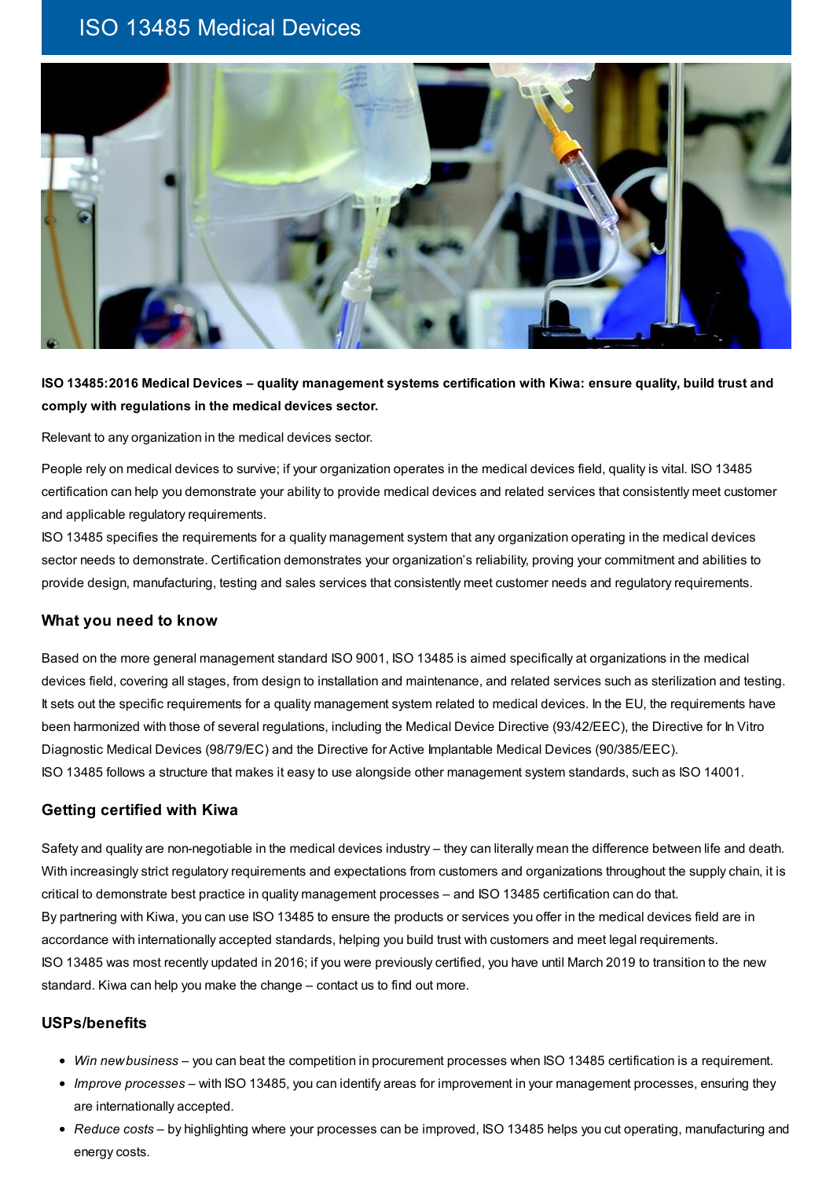# ISO 13485 Medical Devices



## ISO 13485:2016 Medical Devices – quality management systems certification with Kiwa: ensure quality, build trust and **comply with regulations in the medical devices sector.**

Relevant to any organization in the medical devices sector.

People rely on medical devices to survive; if your organization operates in the medical devices field, quality is vital. ISO 13485 certification can help you demonstrate your ability to provide medical devices and related services that consistently meet customer and applicable regulatory requirements.

ISO 13485 specifies the requirements for a quality management system that any organization operating in the medical devices sector needs to demonstrate. Certification demonstrates your organization's reliability, proving your commitment and abilities to provide design, manufacturing, testing and sales services that consistently meet customer needs and regulatory requirements.

#### **What you need to know**

Based on the more general management standard ISO 9001, ISO 13485 is aimed specifically at organizations in the medical devices field, covering all stages, from design to installation and maintenance, and related services such as sterilization and testing. It sets out the specific requirements for a quality management system related to medical devices. In the EU, the requirements have been harmonized with those of several regulations, including the Medical Device Directive (93/42/EEC), the Directive for In Vitro Diagnostic Medical Devices (98/79/EC) and the Directive for Active Implantable Medical Devices (90/385/EEC). ISO 13485 follows a structure that makes it easy to use alongside other management system standards, such as ISO 14001.

#### **Getting certified with Kiwa**

Safety and quality are non-negotiable in the medical devices industry – they can literally mean the difference between life and death. With increasingly strict regulatory requirements and expectations from customers and organizations throughout the supply chain, it is critical to demonstrate best practice in quality management processes – and ISO 13485 certification can do that. By partnering with Kiwa, you can use ISO 13485 to ensure the products or services you offer in the medical devices field are in accordance with internationally accepted standards, helping you build trust with customers and meet legal requirements. ISO 13485 was most recently updated in 2016; if you were previously certified, you have until March 2019 to transition to the new standard. Kiwa can help you make the change – contact us to find out more.

#### **USPs/benefits**

- *Win newbusiness* you can beat the competition in procurement processes when ISO 13485 certification is a requirement.
- *Improve processes* with ISO 13485, you can identify areas for improvement in your management processes, ensuring they are internationally accepted.
- *Reduce costs* by highlighting where your processes can be improved, ISO 13485 helps you cut operating, manufacturing and energy costs.